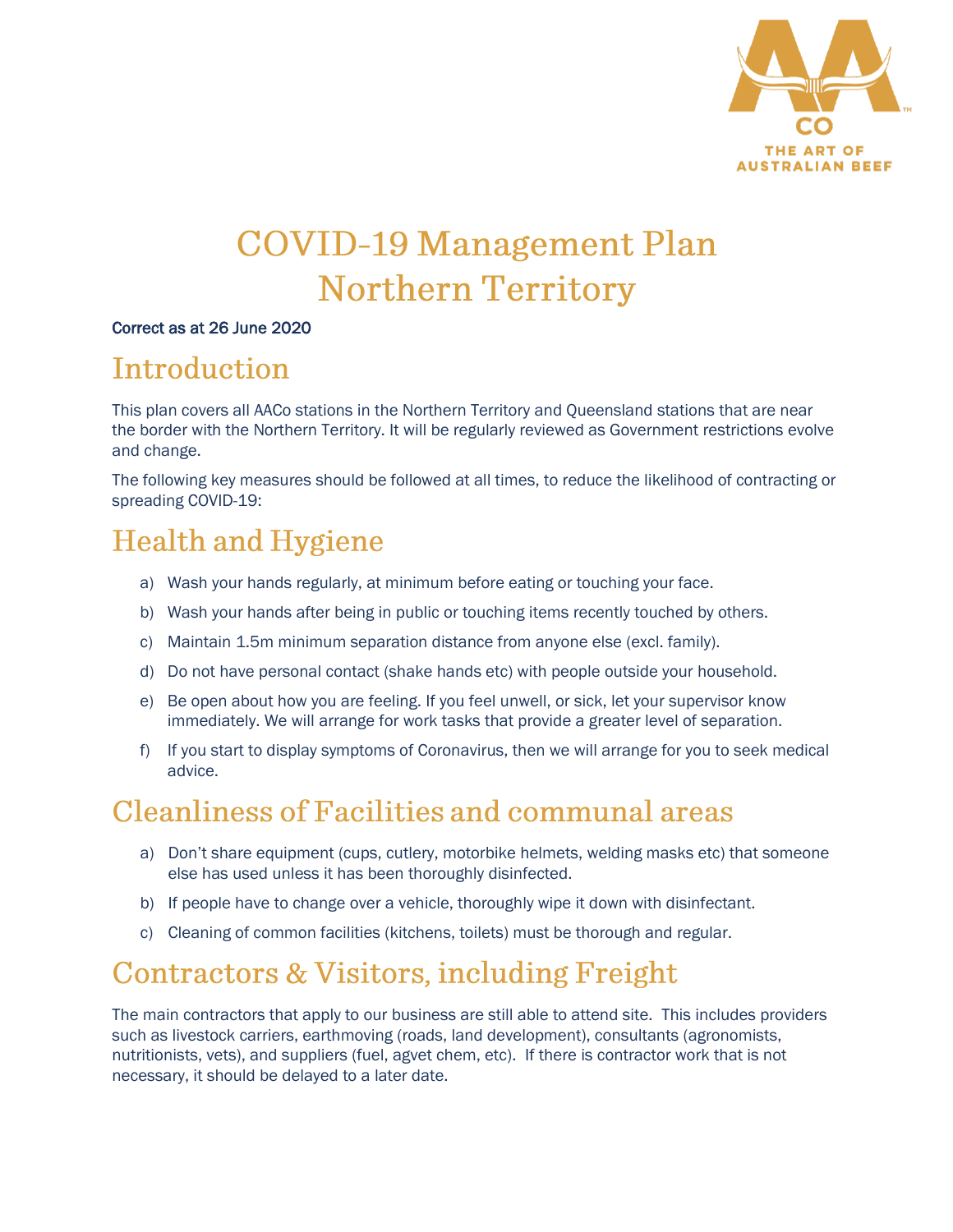

# **COVID-19 Management Plan Northern Territory**

#### Correct as at 26 June 2020

## Introduction

This plan covers all AACo stations in the Northern Territory and Queensland stations that are near the border with the Northern Territory. It will be regularly reviewed as Government restrictions evolve and change.

The following key measures should be followed at all times, to reduce the likelihood of contracting or spreading COVID-19:

# **Health and Hygiene**

- a) Wash your hands regularly, at minimum before eating or touching your face.
- b) Wash your hands after being in public or touching items recently touched by others.
- c) Maintain 1.5m minimum separation distance from anyone else (excl. family).
- d) Do not have personal contact (shake hands etc) with people outside your household.
- e) Be open about how you are feeling. If you feel unwell, or sick, let your supervisor know immediately. We will arrange for work tasks that provide a greater level of separation.
- f) If you start to display symptoms of Coronavirus, then we will arrange for you to seek medical advice.

## **Cleanliness of Facilities and communal areas**

- a) Don't share equipment (cups, cutlery, motorbike helmets, welding masks etc) that someone else has used unless it has been thoroughly disinfected.
- b) If people have to change over a vehicle, thoroughly wipe it down with disinfectant.
- c) Cleaning of common facilities (kitchens, toilets) must be thorough and regular.

# Contractors & Visitors, including Freight

The main contractors that apply to our business are still able to attend site. This includes providers such as livestock carriers, earthmoving (roads, land development), consultants (agronomists, nutritionists, vets), and suppliers (fuel, agvet chem, etc). If there is contractor work that is not necessary, it should be delayed to a later date.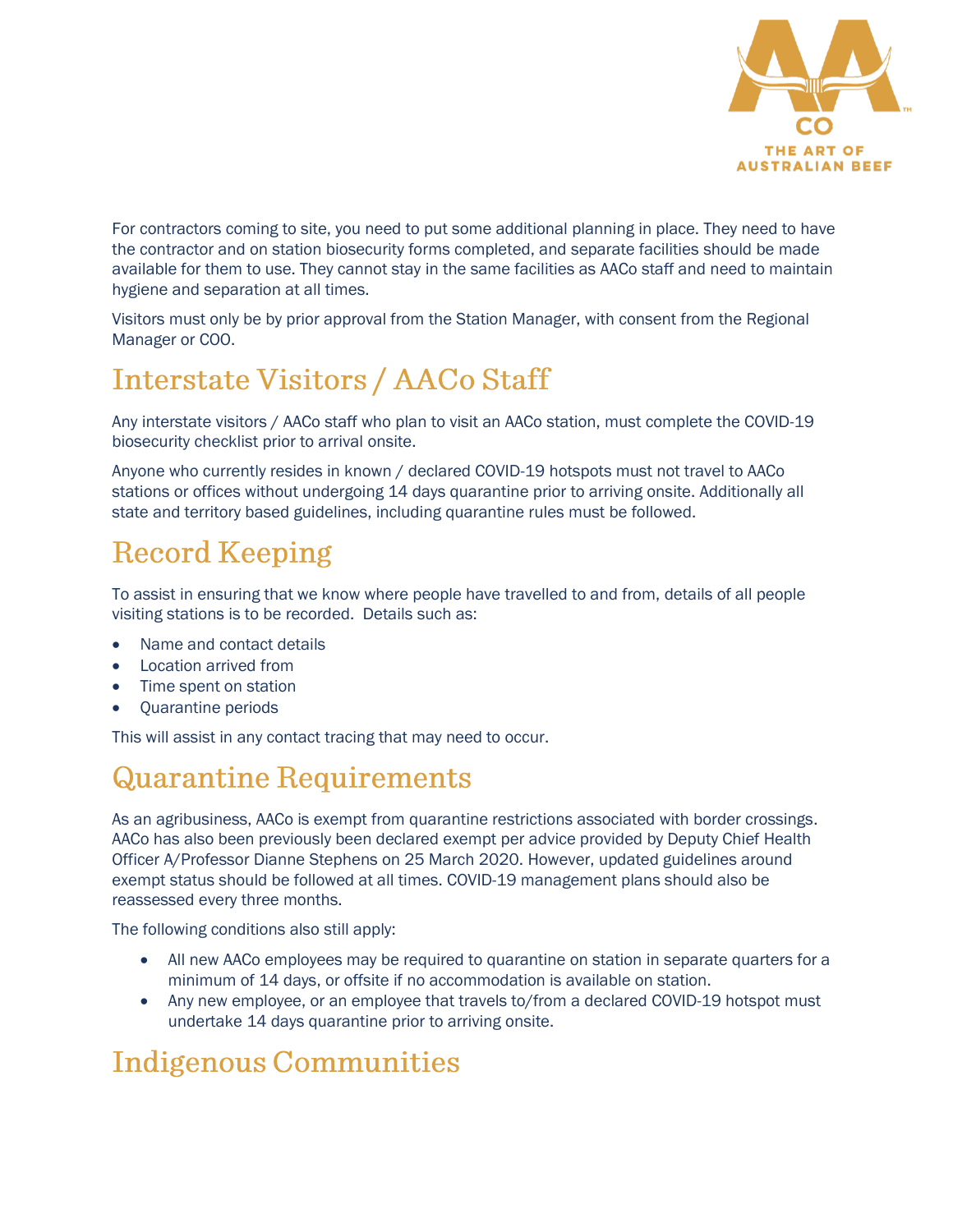

For contractors coming to site, you need to put some additional planning in place. They need to have the contractor and on station biosecurity forms completed, and separate facilities should be made available for them to use. They cannot stay in the same facilities as AACo staff and need to maintain hygiene and separation at all times.

Visitors must only be by prior approval from the Station Manager, with consent from the Regional Manager or COO.

# **Interstate Visitors / AACo Staff**

Any interstate visitors / AACo staff who plan to visit an AACo station, must complete the COVID-19 biosecurity checklist prior to arrival onsite.

Anyone who currently resides in known / declared COVID-19 hotspots must not travel to AACo stations or offices without undergoing 14 days quarantine prior to arriving onsite. Additionally all state and territory based guidelines, including quarantine rules must be followed.

# **Record Keeping**

To assist in ensuring that we know where people have travelled to and from, details of all people visiting stations is to be recorded. Details such as:

- Name and contact details
- Location arrived from
- Time spent on station
- Quarantine periods

This will assist in any contact tracing that may need to occur.

## **Quarantine Requirements**

As an agribusiness, AACo is exempt from quarantine restrictions associated with border crossings. AACo has also been previously been declared exempt per advice provided by Deputy Chief Health Officer A/Professor Dianne Stephens on 25 March 2020. However, updated guidelines around exempt status should be followed at all times. COVID-19 management plans should also be reassessed every three months.

The following conditions also still apply:

- All new AACo employees may be required to quarantine on station in separate quarters for a minimum of 14 days, or offsite if no accommodation is available on station.
- Any new employee, or an employee that travels to/from a declared COVID-19 hotspot must undertake 14 days quarantine prior to arriving onsite.

# **Indigenous Communities**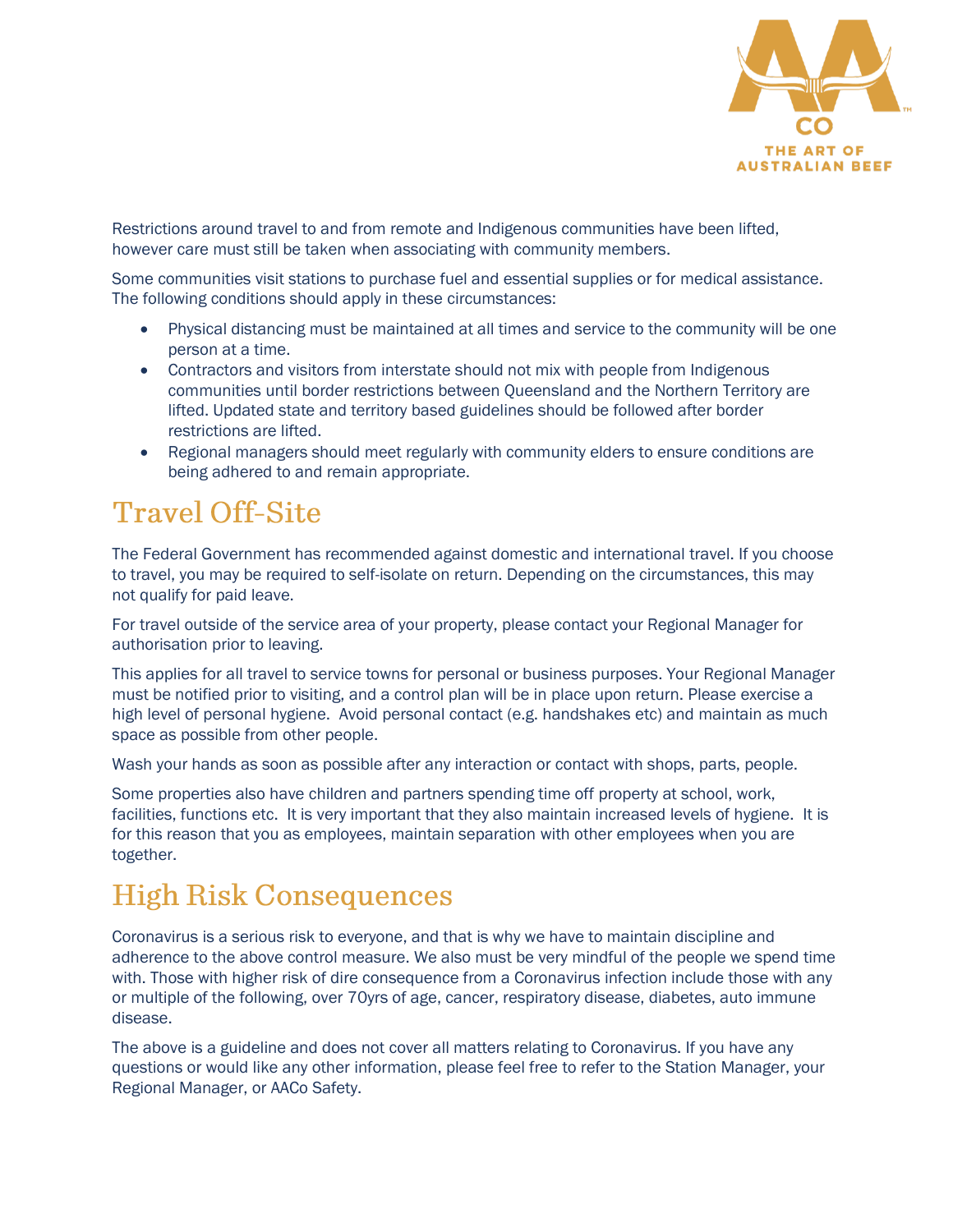

Restrictions around travel to and from remote and Indigenous communities have been lifted, however care must still be taken when associating with community members.

Some communities visit stations to purchase fuel and essential supplies or for medical assistance. The following conditions should apply in these circumstances:

- Physical distancing must be maintained at all times and service to the community will be one person at a time.
- Contractors and visitors from interstate should not mix with people from Indigenous communities until border restrictions between Queensland and the Northern Territory are lifted. Updated state and territory based guidelines should be followed after border restrictions are lifted.
- Regional managers should meet regularly with community elders to ensure conditions are being adhered to and remain appropriate.

# **Travel Off-Site**

The Federal Government has recommended against domestic and international travel. If you choose to travel, you may be required to self-isolate on return. Depending on the circumstances, this may not qualify for paid leave.

For travel outside of the service area of your property, please contact your Regional Manager for authorisation prior to leaving.

This applies for all travel to service towns for personal or business purposes. Your Regional Manager must be notified prior to visiting, and a control plan will be in place upon return. Please exercise a high level of personal hygiene. Avoid personal contact (e.g. handshakes etc) and maintain as much space as possible from other people.

Wash your hands as soon as possible after any interaction or contact with shops, parts, people.

Some properties also have children and partners spending time off property at school, work, facilities, functions etc. It is very important that they also maintain increased levels of hygiene. It is for this reason that you as employees, maintain separation with other employees when you are together.

# **High Risk Consequences**

Coronavirus is a serious risk to everyone, and that is why we have to maintain discipline and adherence to the above control measure. We also must be very mindful of the people we spend time with. Those with higher risk of dire consequence from a Coronavirus infection include those with any or multiple of the following, over 70yrs of age, cancer, respiratory disease, diabetes, auto immune disease.

The above is a guideline and does not cover all matters relating to Coronavirus. If you have any questions or would like any other information, please feel free to refer to the Station Manager, your Regional Manager, or AACo Safety.